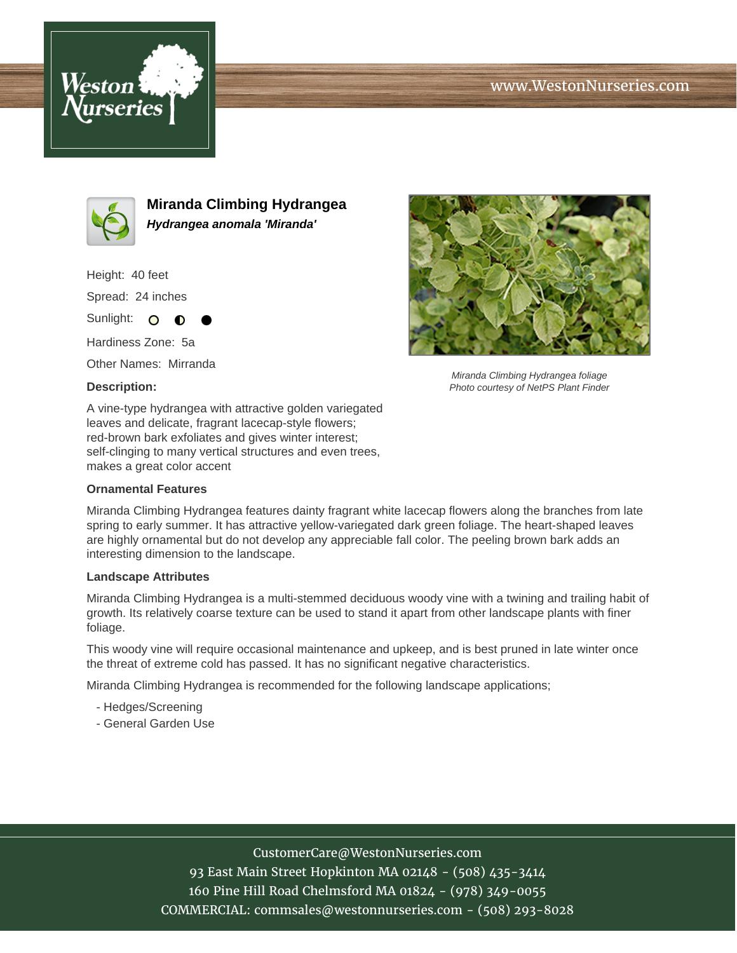





**Miranda Climbing Hydrangea Hydrangea anomala 'Miranda'**

Height: 40 feet Spread: 24 inches Sunlight: O **O** 

Hardiness Zone: 5a

Other Names: Mirranda

## **Description:**



Miranda Climbing Hydrangea foliage Photo courtesy of NetPS Plant Finder

A vine-type hydrangea with attractive golden variegated leaves and delicate, fragrant lacecap-style flowers; red-brown bark exfoliates and gives winter interest; self-clinging to many vertical structures and even trees, makes a great color accent

## **Ornamental Features**

Miranda Climbing Hydrangea features dainty fragrant white lacecap flowers along the branches from late spring to early summer. It has attractive yellow-variegated dark green foliage. The heart-shaped leaves are highly ornamental but do not develop any appreciable fall color. The peeling brown bark adds an interesting dimension to the landscape.

## **Landscape Attributes**

Miranda Climbing Hydrangea is a multi-stemmed deciduous woody vine with a twining and trailing habit of growth. Its relatively coarse texture can be used to stand it apart from other landscape plants with finer foliage.

This woody vine will require occasional maintenance and upkeep, and is best pruned in late winter once the threat of extreme cold has passed. It has no significant negative characteristics.

Miranda Climbing Hydrangea is recommended for the following landscape applications;

- Hedges/Screening
- General Garden Use

CustomerCare@WestonNurseries.com

93 East Main Street Hopkinton MA 02148 - (508) 435-3414 160 Pine Hill Road Chelmsford MA 01824 - (978) 349-0055 COMMERCIAL: commsales@westonnurseries.com - (508) 293-8028